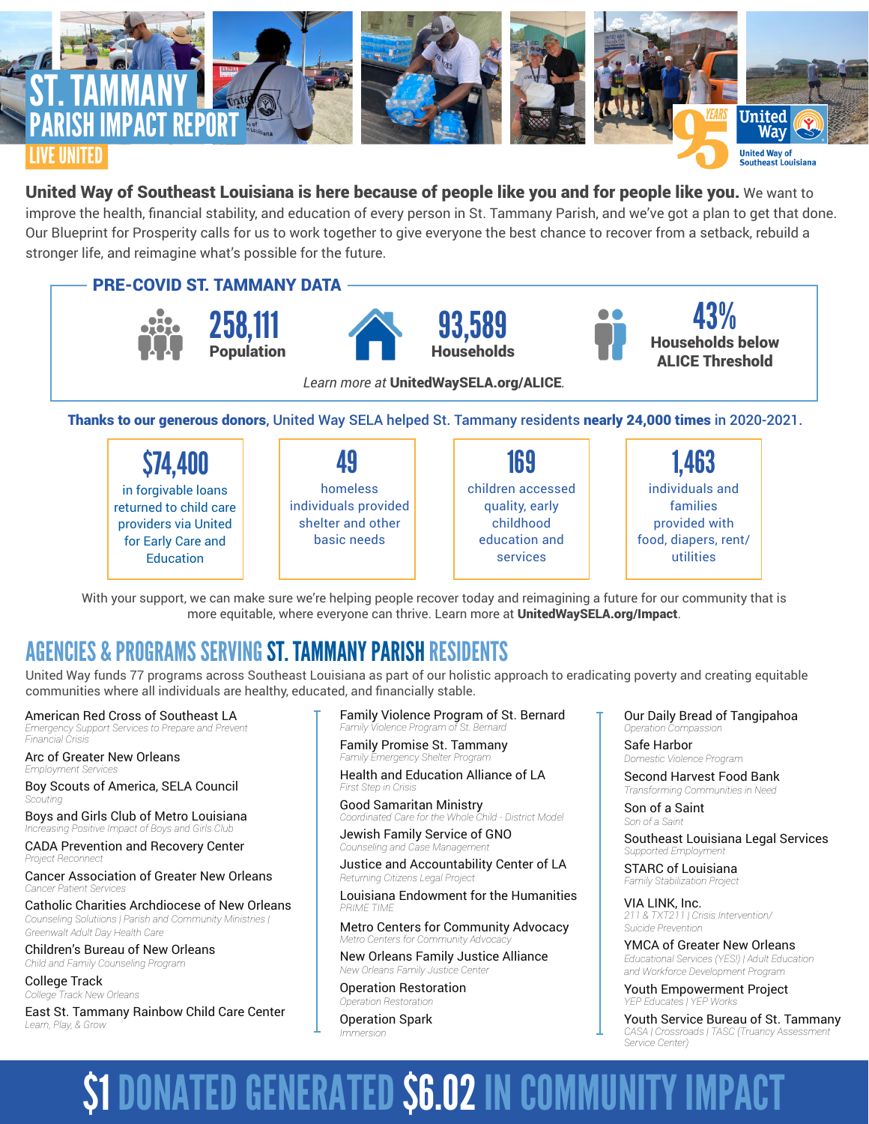

### United Way of Southeast Louisiana is here because of people like you and for people like you. We want to

improve the health, financial stability, and education of every person in St. Tammany Parish, and we've got a plan to get that done. Our Blueprint for Prosperity calls for us to work together to give everyone the best chance to recover from a setback, rebuild a stronger life, and reimagine what's possible for the future.



*Learn more at* UnitedWaySELA.org/ALICE*.*

Thanks to our generous donors, United Way SELA helped St. Tammany residents nearly 24,000 times in 2020-2021.

| \$74,400                                                                                                        | 49                                                                   | 169                                                                           | 1,463                                                                             |
|-----------------------------------------------------------------------------------------------------------------|----------------------------------------------------------------------|-------------------------------------------------------------------------------|-----------------------------------------------------------------------------------|
| in forgivable loans<br>returned to child care<br>providers via United<br>for Early Care and<br><b>Education</b> | homeless<br>individuals provided<br>shelter and other<br>basic needs | children accessed<br>quality, early<br>childhood<br>education and<br>services | individuals and<br>families<br>provided with<br>food, diapers, rent/<br>utilities |

With your support, we can make sure we're helping people recover today and reimagining a future for our community that is more equitable, where everyone can thrive. Learn more at **UnitedWaySELA.org/Impact**.

## AGENCIES & PROGRAMS SERVING ST. TAMMANY PARISH RESIDENTS

United Way funds 77 programs across Southeast Louisiana as part of our holistic approach to eradicating poverty and creating equitable communities where all individuals are healthy, educated, and financially stable.

American Red Cross of Southeast LA

*Emergency Support Services to Prepare and Prevent Financial Crisis*

Arc of Greater New Orleans *Employment Services*

Boy Scouts of America, SELA Council *Scouting*

Boys and Girls Club of Metro Louisiana *Increasing Positive Impact of Boys and Girls Club*

CADA Prevention and Recovery Center *Project Reconnect*

Cancer Association of Greater New Orleans *Cancer Patient Services*

Catholic Charities Archdiocese of New Orleans *Counseling Solutiions | Parish and Community Ministries | Greenwalt Adult Day Health Care*

Children's Bureau of New Orleans *Child and Family Counseling Program*

College Track *College Track New Orleans*

East St. Tammany Rainbow Child Care Center *Learn, Play, & Grow*

#### Family Violence Program of St. Bernard *Family Violence Program of St. Bernard*

Family Promise St. Tammany *Family Emergency Shelter Program*

Health and Education Alliance of LA *First Step in Crisis*

Good Samaritan Ministry *Coordinated Care for the Whole Child - District Model*

Jewish Family Service of GNO *Counseling and Case Management*

Justice and Accountability Center of LA *Returning Citizens Legal Project*

Louisiana Endowment for the Humanities *PRIME TIME*

Metro Centers for Community Advocacy *Metro Centers for Community Advocacy*

New Orleans Family Justice Alliance *New Orleans Family Justice Center*

Operation Restoration *Operation Restoration*

Operation Spark *Immersion*

Our Daily Bread of Tangipahoa *Operation Compassion*

Safe Harbor *Domestic Violence Program*

Second Harvest Food Bank *Transforming Communities in Need*

Son of a Saint *Son of a Saint*

Southeast Louisiana Legal Services *Supported Employment*

STARC of Louisiana *Family Stabilization Project*

VIA LINK, Inc. *211 & TXT211 | Crisis Intervention/ Suicide Prevention*

YMCA of Greater New Orleans *Educational Services (YES!) | Adult Education and Workforce Development Program* 

Youth Empowerment Project *YEP Educates | YEP Works*

Youth Service Bureau of St. Tammany *CASA | Crossroads | TASC (Truancy Assessment Service Center)*

# **\$1 DONATED GENERATED \$6.02 IN COMMUNITY**